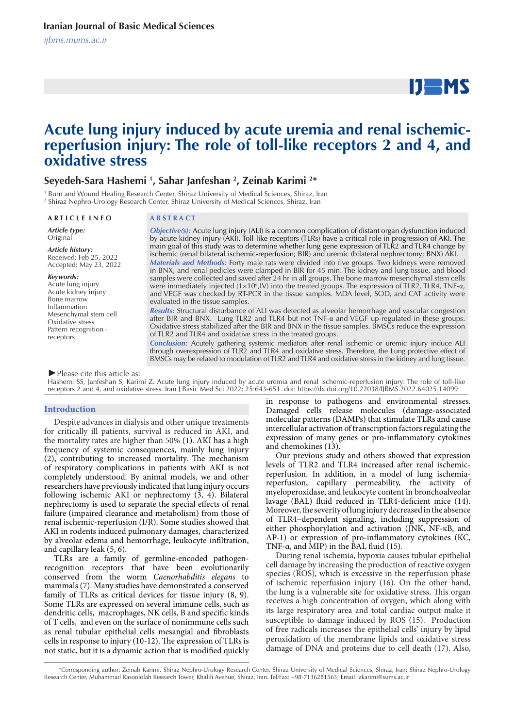# $IJ$  MS

## **Acute lung injury induced by acute uremia and renal ischemic**reperfusion injury: The role of toll-like receptors 2 and 4, and **oxidative stress**

#### **Seyedeh-Sara Hashemi 1 , Sahar Janfeshan 2 , Zeinab Karimi 2 \***

1 Burn and Wound Healing Research Center, Shiraz University of Medical Sciences, Shiraz, Iran

2 Shiraz Nephro-Urology Research Center, Shiraz University of Medical Sciences, Shiraz, Iran

#### **A R T I C L E I N F O A B S T R A C T**

*Article type:* **Original** 

*Article history:* Received: Feb 25, 2022 Accepted: May 23, 2022

#### *Keywords:*

Acute lung injury Acute kidney injury Bone marrow Inflammation Mesenchymal stem cell Oxidative stress Pattern recognition receptors

*Objective(s):* Acute lung injury (ALI) is a common complication of distant organ dysfunction induced by acute kidney injury (AKI). Toll-like receptors (TLRs) have a critical role in progression of AKI. The main goal of this study was to determine whether lung gene expression of TLR2 and TLR4 change by ischemic (renal bilateral ischemic-reperfusion; BIR) and uremic (bilateral nephrectomy; BNX) AKI. *Materials and Methods:* Forty male rats were divided into five groups. Two kidneys were removed in BNX, and renal pedicles were clamped in BIR for 45 min. The kidney and lung tissue, and blood samples were collected and saved after 24 hr in all groups. The bone marrow mesenchymal stem cells were immediately injected  $(1 \times 10^6)$  list the treated groups. The expression of TLR2, TLR4, TNF- $\alpha$ , and VEGF was checked by RT-PCR in the tissue samples. MDA level, SOD, and CAT activity were evaluated in the tissue samples.

*Results:* Structural disturbance of ALI was detected as alveolar hemorrhage and vascular congestion after BIR and BNX. Lung TLR2 and TLR4 but not TNF-α and VEGF up-regulated in these groups. Oxidative stress stabilized after the BIR and BNX in the tissue samples. BMSCs reduce the expression of TLR2 and TLR4 and oxidative stress in the treated groups.

*Conclusion:* Acutely gathering systemic mediators after renal ischemic or uremic injury induce ALI through overexpression of TLR2 and TLR4 and oxidative stress. Therefore, the Lung protective effect of BMSCs may be related to modulation of TLR2 and TLR4 and oxidative stress in the kidney and lung tissue.

*►*Please cite this article as:

Hashemi SS, Janfeshan S, Karimi Z. Acute lung injury induced by acute uremia and renal ischemic-reperfusion injury: The role of toll-like receptors 2 and 4, and oxidative stress. Iran J Basic Med Sci 2022; 25:643-651. doi: https://dx.doi.org/10.22038/IJBMS.2022.64025.14099

#### **Introduction**

Despite advances in dialysis and other unique treatments for critically ill patients, survival is reduced in AKI, and the mortality rates are higher than 50% (1). AKI has a high frequency of systemic consequences, mainly lung injury (2), contributing to increased mortality. The mechanism of respiratory complications in patients with AKI is not completely understood. By animal models, we and other researchers have previously indicated that lung injury occurs following ischemic AKI or nephrectomy (3, 4). Bilateral nephrectomy is used to separate the special effects of renal failure (impaired clearance and metabolism) from those of renal ischemic-reperfusion (I/R). Some studies showed that AKI in rodents induced pulmonary damages, characterized by alveolar edema and hemorrhage, leukocyte infiltration, and capillary leak (5, 6).

TLRs are a family of germline-encoded pathogenrecognition receptors that have been evolutionarily conserved from the worm *Caenorhabditis elegans* to mammals (7). Many studies have demonstrated a conserved family of TLRs as critical devices for tissue injury (8, 9). Some TLRs are expressed on several immune cells, such as dendritic cells, macrophages, NK cells, B and specific kinds of T cells, and even on the surface of nonimmune cells such as renal tubular epithelial cells mesangial and fibroblasts cells in response to injury (10-12). The expression of TLRs is not static, but it is a dynamic action that is modified quickly in response to pathogens and environmental stresses. Damaged cells release molecules (damage-associated molecular patterns (DAMPs) that stimulate TLRs and cause intercellular activation of transcription factors regulating the expression of many genes or pro-inflammatory cytokines and chemokines (13).

Our previous study and others showed that expression levels of TLR2 and TLR4 increased after renal ischemicreperfusion. In addition, in a model of lung ischemiareperfusion, capillary permeability, the activity of myeloperoxidase, and leukocyte content in bronchoalveolar lavage (BAL) fluid reduced in TLR4-deficient mice (14). Moreover, the severity of lung injury decreased in the absence of TLR4–dependent signaling, including suppression of either phosphorylation and activation (JNK, NF-κB, and AP-1) or expression of pro-inflammatory cytokines (KC, TNF- $\alpha$ , and MIP) in the BAL fluid (15).

During renal ischemia, hypoxia causes tubular epithelial cell damage by increasing the production of reactive oxygen species (ROS), which is excessive in the reperfusion phase of ischemic reperfusion injury (16). On the other hand, the lung is a vulnerable site for oxidative stress. This organ receives a high concentration of oxygen, which along with its large respiratory area and total cardiac output make it susceptible to damage induced by ROS (15). Production of free radicals increases the epithelial cells' injury by lipid peroxidation of the membrane lipids and oxidative stress damage of DNA and proteins due to cell death (17). Also,

 <sup>\*</sup>Corresponding author: Zeinab Karimi. Shiraz Nephro-Urology Research Center, Shiraz University of Medical Sciences, Shiraz, Iran; Shiraz Nephro-Urology Research Center, Muhammad Rasoololah Research Tower, Khalili Avenue, Shiraz, Iran. Tel/Fax: +98-7136281563; Email: zkarimi@sums.ac.ir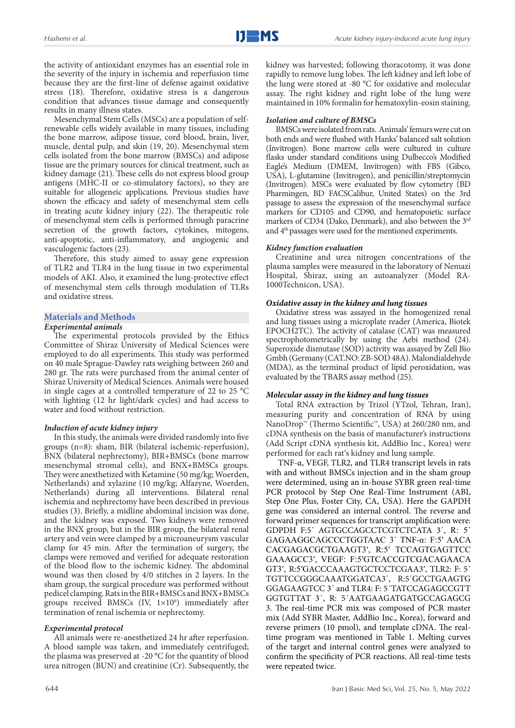the activity of antioxidant enzymes has an essential role in the severity of the injury in ischemia and reperfusion time because they are the first-line of defense against oxidative stress (18). Therefore, oxidative stress is a dangerous condition that advances tissue damage and consequently results in many illness states.

Mesenchymal Stem Cells (MSCs) are a population of selfrenewable cells widely available in many tissues, including the bone marrow, adipose tissue, cord blood, brain, liver, muscle, dental pulp, and skin (19, 20). Mesenchymal stem cells isolated from the bone marrow (BMSCs) and adipose tissue are the primary sources for clinical treatment, such as kidney damage (21). These cells do not express blood group antigens (MHC-II or co-stimulatory factors), so they are suitable for allogeneic applications. Previous studies have shown the efficacy and safety of mesenchymal stem cells in treating acute kidney injury (22). The therapeutic role of mesenchymal stem cells is performed through paracrine secretion of the growth factors, cytokines, mitogens, anti-apoptotic, anti-inflammatory, and angiogenic and vasculogenic factors (23).

Therefore, this study aimed to assay gene expression of TLR2 and TLR4 in the lung tissue in two experimental models of AKI. Also, it examined the lung-protective effect of mesenchymal stem cells through modulation of TLRs and oxidative stress.

### **Materials and Methods**

#### *Experimental animals*

The experimental protocols provided by the Ethics Committee of Shiraz University of Medical Sciences were employed to do all experiments. This study was performed on 40 male Sprague-Dawley rats weighing between 260 and 280 gr. The rats were purchased from the animal center of Shiraz University of Medical Sciences. Animals were housed in single cages at a controlled temperature of 22 to 25 °C with lighting (12 hr light/dark cycles) and had access to water and food without restriction.

#### *Induction of acute kidney injury*

In this study, the animals were divided randomly into five groups (n=8): sham, BIR (bilateral ischemic-reperfusion), BNX (bilateral nephrectomy), BIR+BMSCs (bone marrow mesenchymal stromal cells), and BNX+BMSCs groups. They were anesthetized with Ketamine (50 mg/kg; Woerden, Netherlands) and xylazine (10 mg/kg; Alfazyne, Woerden, Netherlands) during all interventions. Bilateral renal ischemia and nephrectomy have been described in previous studies (3). Briefly, a midline abdominal incision was done, and the kidney was exposed. Two kidneys were removed in the BNX group, but in the BIR group, the bilateral renal artery and vein were clamped by a microaneurysm vascular clamp for 45 min. After the termination of surgery, the clamps were removed and verified for adequate restoration of the blood flow to the ischemic kidney. The abdominal wound was then closed by 4/0 stitches in 2 layers. In the sham group, the surgical procedure was performed without pedicel clamping. Rats in the BIR+BMSCs and BNX+BMSCs groups received BMSCs  $(IV, 1\times10^6)$  immediately after termination of renal ischemia or nephrectomy.

#### *Experimental protocol*

All animals were re-anesthetized 24 hr after reperfusion. A blood sample was taken, and immediately centrifuged; the plasma was preserved at -20 °C for the quantity of blood urea nitrogen (BUN) and creatinine (Cr). Subsequently, the

kidney was harvested; following thoracotomy, it was done rapidly to remove lung lobes. The left kidney and left lobe of the lung were stored at -80 °C for oxidative and molecular assay. The right kidney and right lobe of the lung were maintained in 10% formalin for hematoxylin-eosin staining.

#### *Isolation and culture of BMSCs*

BMSCs were isolated from rats. Animals' femurs were cut on both ends and were flushed with Hanks' balanced salt solution (Invitrogen). Bone marrow cells were cultured in culture flasks under standard conditions using Dulbecco's Modified Eagle's Medium (DMEM, Invitrogen) with FBS (Gibco, USA), L-glutamine (Invitrogen), and penicillin/streptomycin (Invitrogen). MSCs were evaluated by flow cytometry (BD Pharmingen, BD FACSCalibur, United States) on the 3rd passage to assess the expression of the mesenchymal surface markers for CD105 and CD90, and hematopoietic surface markers of CD34 (Dako, Denmark), and also between the 3rd and 4th passages were used for the mentioned experiments.

#### *Kidney function evaluation*

Creatinine and urea nitrogen concentrations of the plasma samples were measured in the laboratory of Nemazi Hospital, Shiraz, using an autoanalyzer (Model RA-1000Technicon, USA).

#### *Oxidative assay in the kidney and lung tissues*

Oxidative stress was assayed in the homogenized renal and lung tissues using a microplate reader (America, Biotek EPOCH2TC). The activity of catalase (CAT) was measured spectrophotometrically by using the Aebi method (24). Superoxide dismutase (SOD) activity was assayed by Zell Bio Gmbh (Germany (CAT.NO: ZB-SOD 48A). Malondialdehyde (MDA), as the terminal product of lipid peroxidation, was evaluated by the TBARS assay method (25).

#### *Molecular assay in the kidney and lung tissues*

Total RNA extraction by Trizol (YTzol, Tehran, Iran), measuring purity and concentration of RNA by using NanoDrop™ (Thermo Scientific™, USA) at 260/280 nm, and cDNA synthesis on the basis of manufacturer's instructions (Add Script cDNA synthesis kit, AddBio Inc., Korea) were performed for each rat′s kidney and lung sample.

 TNF-α, VEGF, TLR2, and TLR4 transcript levels in rats with and without BMSCs injection and in the sham group were determined, using an in-house SYBR green real-time PCR protocol by Step One Real-Time Instrument (ABI, Step One Plus, Foster City, CA, USA). Here the GAPDH gene was considered an internal control. The reverse and forward primer sequences for transcript amplification were: GDPDH F:5´ AGTGCCAGCCTCGTCTCATA 3´, R: 5´ GAGAAGGCAGCCCTGGTAAC 3´ TNF-α: F:5′ AACA CACGAGACGCTGAAGT3′, R:5′ TCCAGTGAGTTCC GAAAGCC3′, VEGF: F:5′GTCACCGTCGACAGAACA GT3′, R:5′GACCCAAAGTGCTCCTCGAA3′, TLR2: F: 5´ TGTTCCGGGCAAATGGATCA3´, R:5´GCCTGAAGTG GGAGAAGTCC 3´ and TLR4: F: 5´TATCCAGAGCCGTT GGTGTTAT 3´, R: 5´AATGAAGATGATGCCAGAGCG 3. The real-time PCR mix was composed of PCR master mix (Add SYBR Master, AddBio Inc., Korea), forward and reverse primers (10 pmol), and template cDNA. The realtime program was mentioned in Table 1. Melting curves of the target and internal control genes were analyzed to confirm the specificity of PCR reactions. All real-time tests were repeated twice.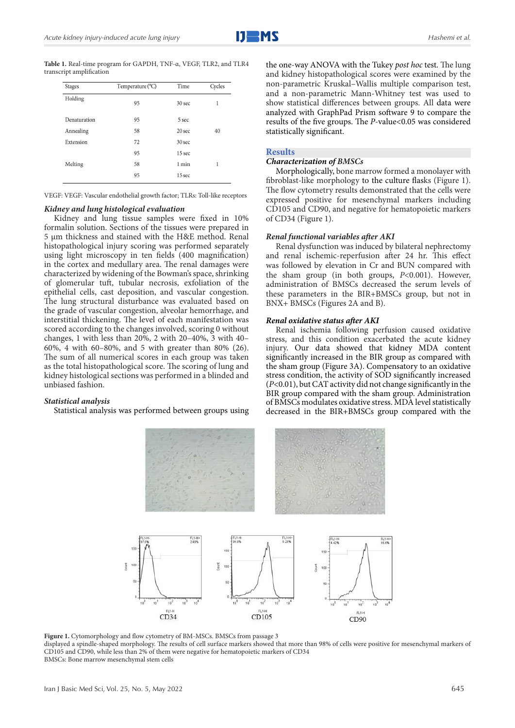**Table 1.** Real-time program for GAPDH, TNF-α, VEGF, TLR2, and TLR4 transcript amplification

| <b>Stages</b> | Temperature (°C) | Time              | Cycles |
|---------------|------------------|-------------------|--------|
| Holding       | 95               | 30 <sub>sec</sub> | 1      |
| Denaturation  | 95               | 5 sec             |        |
| Annealing     | 58               | $20$ sec          | 40     |
| Extension     | 72               | 30 <sub>sec</sub> |        |
|               | 95               | 15 sec            |        |
| Melting       | 58               | 1 min             | 1      |
|               | 95               | 15 sec            |        |

VEGF: VEGF: Vascular endothelial growth factor; TLRs: Toll-like receptors

#### *Kidney and lung histological evaluation*

Kidney and lung tissue samples were fixed in 10% formalin solution. Sections of the tissues were prepared in 5 µm thickness and stained with the H&E method. Renal histopathological injury scoring was performed separately using light microscopy in ten fields (400 magnification) in the cortex and medullary area. The renal damages were characterized by widening of the Bowman's space, shrinking of glomerular tuft, tubular necrosis, exfoliation of the epithelial cells, cast deposition, and vascular congestion. The lung structural disturbance was evaluated based on the grade of vascular congestion, alveolar hemorrhage, and interstitial thickening. The level of each manifestation was scored according to the changes involved, scoring 0 without changes, 1 with less than 20%, 2 with 20–40%, 3 with 40– 60%, 4 with 60–80%, and 5 with greater than 80% (26). The sum of all numerical scores in each group was taken as the total histopathological score. The scoring of lung and kidney histological sections was performed in a blinded and unbiased fashion.

#### *Statistical analysis*

Statistical analysis was performed between groups using

the one-way ANOVA with the Tukey *post hoc* test. The lung and kidney histopathological scores were examined by the non-parametric Kruskal–Wallis multiple comparison test, and a non-parametric Mann-Whitney test was used to show statistical differences between groups. All data were analyzed with GraphPad Prism software 9 to compare the results of the five groups. The *P*-value<0.05 was considered statistically significant.

#### **Results**

#### *Characterization of BMSCs*

Morphologically, bone marrow formed a monolayer with fibroblast-like morphology to the culture flasks (Figure 1). The flow cytometry results demonstrated that the cells were expressed positive for mesenchymal markers including CD105 and CD90, and negative for hematopoietic markers of CD34 (Figure 1).

#### *Renal functional variables after AKI*

Renal dysfunction was induced by bilateral nephrectomy and renal ischemic-reperfusion after 24 hr. This effect was followed by elevation in Cr and BUN compared with the sham group (in both groups, *P*<0.001). However, administration of BMSCs decreased the serum levels of these parameters in the BIR+BMSCs group, but not in BNX+ BMSCs (Figures 2A and B).

#### *Renal oxidative status after AKI*

Renal ischemia following perfusion caused oxidative stress, and this condition exacerbated the acute kidney injury. Our data showed that kidney MDA content significantly increased in the BIR group as compared with the sham group (Figure 3A). Compensatory to an oxidative stress condition, the activity of SOD significantly increased (*P*<0.01), but CAT activity did not change significantly in the BIR group compared with the sham group. Administration of BMSCs modulates oxidative stress. MDA level statistically decreased in the BIR+BMSCs group compared with the



Figure 1. Cytomorphology and flow cytometry of BM-MSCs. BMSCs from passage 3

displayed a spindle-shaped morphology. The results of cell surface markers showed that more than 98% of cells were positive for mesenchymal markers of CD105 and CD90, while less than 2% of them were negative for hematopoietic markers of CD34 BMSCs: Bone marrow mesenchymal stem cells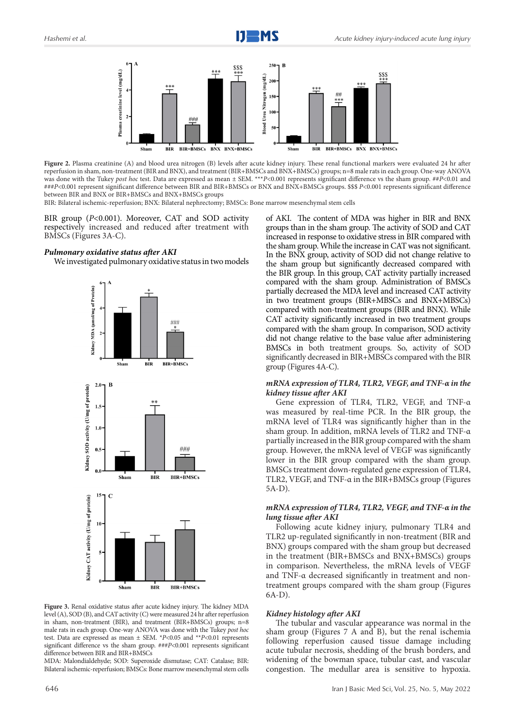

**Figure 2.** Plasma creatinine (A) and blood urea nitrogen (B) levels after acute kidney injury. These renal functional markers were evaluated 24 hr after reperfusion in sham, non-treatment (BIR and BNX), and treatment (BIR+BMSCs and BNX+BMSCs) groups; n=8 male rats in each group. One-way ANOVA was done with the Tukey *post hoc* test. Data are expressed as mean ± SEM. \*\*\**P*<0.001 represents significant difference vs the sham group. ##*P*<0.01 and ###*P*<0.001 represent significant difference between BIR and BIR+BMSCs or BNX and BNX+BMSCs groups. \$\$\$ *P*<0.001 represents significant difference between BIR and BNX or BIR+BMSCs and BNX+BMSCs groups

BIR: Bilateral ischemic-reperfusion; BNX: Bilateral nephrectomy; BMSCs: Bone marrow mesenchymal stem cells

BIR group (*P*<0.001). Moreover, CAT and SOD activity respectively increased and reduced after treatment with BMSCs (Figures 3A-C).

#### *Pulmonary oxidative status after AKI*

We investigated pulmonary oxidative status in two models



**Figure 3.** Renal oxidative status after acute kidney injury. The kidney MDA level (A), SOD (B), and CAT activity (C) were measured 24 hr after reperfusion in sham, non-treatment (BIR), and treatment (BIR+BMSCs) groups; n=8 male rats in each group. One-way ANOVA was done with the Tukey *post hoc* test. Data are expressed as mean ± SEM. \**P*<0.05 and \*\**P*<0.01 represents significant difference vs the sham group. ###*P*<0.001 represents significant difference between BIR and BIR+BMSCs

MDA: Malondialdehyde; SOD: Superoxide dismutase; CAT: Catalase; BIR: Bilateral ischemic-reperfusion; BMSCs: Bone marrow mesenchymal stem cells of AKI. The content of MDA was higher in BIR and BNX groups than in the sham group. The activity of SOD and CAT increased in response to oxidative stress in BIR compared with the sham group. While the increase in CAT was not significant. In the BNX group, activity of SOD did not change relative to the sham group but significantly decreased compared with the BIR group. In this group, CAT activity partially increased compared with the sham group. Administration of BMSCs partially decreased the MDA level and increased CAT activity in two treatment groups (BIR+MBSCs and BNX+MBSCs) compared with non-treatment groups (BIR and BNX). While CAT activity significantly increased in two treatment groups compared with the sham group. In comparison, SOD activity did not change relative to the base value after administering BMSCs in both treatment groups. So, activity of SOD significantly decreased in BIR+MBSCs compared with the BIR group (Figures 4A-C).

#### *mRNA expression of TLR4, TLR2, VEGF, and TNF-α in the kidney tissue after AKI*

Gene expression of TLR4, TLR2, VEGF, and TNF-α was measured by real-time PCR. In the BIR group, the mRNA level of TLR4 was significantly higher than in the sham group. In addition, mRNA levels of TLR2 and TNF-α partially increased in the BIR group compared with the sham group. However, the mRNA level of VEGF was significantly lower in the BIR group compared with the sham group. BMSCs treatment down-regulated gene expression of TLR4, TLR2, VEGF, and TNF-α in the BIR+BMSCs group (Figures 5A-D).

#### *mRNA expression of TLR4, TLR2, VEGF, and TNF-α in the lung tissue after AKI*

Following acute kidney injury, pulmonary TLR4 and TLR2 up-regulated significantly in non-treatment (BIR and BNX) groups compared with the sham group but decreased in the treatment (BIR+BMSCs and BNX+BMSCs) groups in comparison. Nevertheless, the mRNA levels of VEGF and TNF-α decreased significantly in treatment and nontreatment groups compared with the sham group (Figures 6A-D).

#### *Kidney histology after AKI*

The tubular and vascular appearance was normal in the sham group (Figures 7 A and B), but the renal ischemia following reperfusion caused tissue damage including acute tubular necrosis, shedding of the brush borders, and widening of the bowman space, tubular cast, and vascular congestion. The medullar area is sensitive to hypoxia.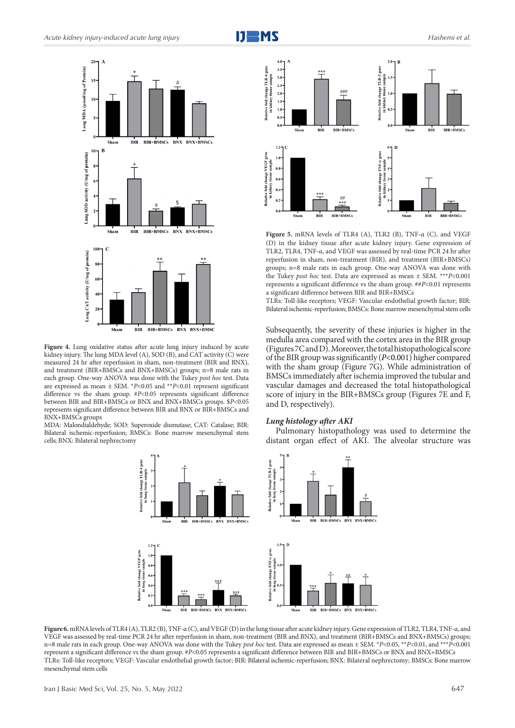



Shan **BIR BIR+BMSCs BNX BNX+BMSC** 

Figure 4. Lung oxidative status after acute lung injury induced by acute kidney injury. The lung MDA level (A), SOD (B), and CAT activity (C) were measured 24 hr after reperfusion in sham, non-treatment (BIR and BNX), and treatment (BIR+BMSCs and BNX+BMSCs) groups; n=8 male rats in each group. One-way ANOVA was done with the Tukey *post hoc* test. Data are expressed as mean  $\pm$  SEM. \**P*<0.05 and \*\**P*<0.01 represent significant difference vs the sham group. #*P*<0.05 represents significant difference between BIR and BIR+BMSCs or BNX and BNX+BMSCs groups. \$*P*<0.05 represents significant difference between BIR and BNX or BIR+BMSCs and BNX+BMSCs groups

MDA: Malondialdehyde; SOD: Superoxide dismutase; CAT: Catalase; BIR: Bilateral ischemic-reperfusion; BMSCs: Bone marrow mesenchymal stem cells; BNX: Bilateral nephrectomy

ive fold change VEGF gene<br>in lung tissue sample





**Figure 5.** mRNA levels of TLR4 (A), TLR2 (B), TNF-α (C), and VEGF (D) in the kidney tissue after acute kidney injury. Gene expression of TLR2, TLR4, TNF-α, and VEGF was assessed by real-time PCR 24 hr after reperfusion in sham, non-treatment (BIR), and treatment (BIR+BMSCs) groups; n=8 male rats in each group. One-way ANOVA was done with the Tukey *post hoc* test. Data are expressed as mean ± SEM. \*\*\**P*<0.001 represents a significant difference vs the sham group. ##*P*<0.01 represents a significant difference between BIR and BIR+BMSCs

TLRs: Toll-like receptors; VEGF: Vascular endothelial growth factor; BIR: Bilateral ischemic-reperfusion; BMSCs: Bone marrow mesenchymal stem cells

Subsequently, the severity of these injuries is higher in the medulla area compared with the cortex area in the BIR group (Figures 7C and D). Moreover, the total histopathological score of the BIR group was significantly (*P*<0.001) higher compared with the sham group (Figure 7G). While administration of BMSCs immediately after ischemia improved the tubular and vascular damages and decreased the total histopathological score of injury in the BIR+BMSCs group (Figures 7E and F, and D, respectively).

#### *Lung histology after AKI*

Pulmonary histopathology was used to determine the distant organ effect of AKI. The alveolar structure was



Shan

 $BIR$ 

BIR+BMSCs BNX BNX+BMSCs

**Figure 6.** mRNA levels of TLR4 (A), TLR2 (B), TNF-α (C), and VEGF (D) in the lung tissue after acute kidney injury. Gene expression of TLR2, TLR4, TNF-α, and VEGF was assessed by real-time PCR 24 hr after reperfusion in sham, non-treatment (BIR and BNX), and treatment (BIR+BMSCs and BNX+BMSCs) groups; n=8 male rats in each group. One-way ANOVA was done with the Tukey *post hoc* test. Data are expressed as mean ± SEM. \**P*<0.05, \*\**P*<0.01, and \*\*\**P*<0.001 represent a significant difference vs the sham group. #*P*<0.05 represents a significant difference between BIR and BIR+BMSCs or BNX and BNX+BMSCs TLRs: Toll-like receptors; VEGF: Vascular endothelial growth factor; BIR: Bilateral ischemic-reperfusion; BNX: Bilateral nephrectomy; BMSCs: Bone marrow mesenchymal stem cells

BNX BNX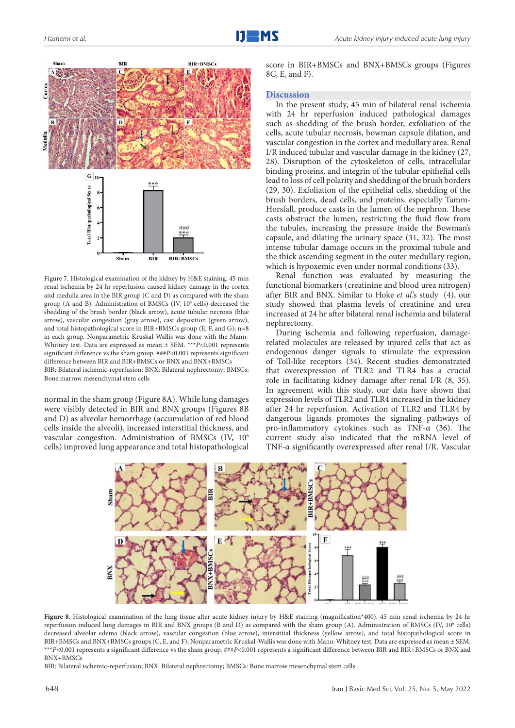



Figure 7. Histological examination of the kidney by H&E staining. 45 min renal ischemia by 24 hr reperfusion caused kidney damage in the cortex and medulla area in the BIR group (C and D) as compared with the sham group (A and B). Administration of BMSCs (IV, 10<sup>6</sup> cells) decreased the shedding of the brush border (black arrow), acute tubular necrosis (blue arrow), vascular congestion (gray arrow), cast deposition (green arrow), and total histopathological score in BIR+BMSCs group (E, F, and G); n=8 in each group. Nonparametric Kruskal-Wallis was done with the Mann-Whitney test. Data are expressed as mean ± SEM. \*\*\**P*<0.001 represents significant difference vs the sham group. ###*P*<0.001 represents significant difference between BIR and BIR+BMSCs or BNX and BNX+BMSCs BIR: Bilateral ischemic-reperfusion; BNX: Bilateral nephrectomy; BMSCs: Bone marrow mesenchymal stem cells

normal in the sham group (Figure 8A). While lung damages were visibly detected in BIR and BNX groups (Figures 8B and D) as alveolar hemorrhage (accumulation of red blood cells inside the alveoli), increased interstitial thickness, and vascular congestion. Administration of BMSCs (IV, 106 cells) improved lung appearance and total histopathological score in BIR+BMSCs and BNX+BMSCs groups (Figures 8C, E, and F).

#### **Discussion**

In the present study, 45 min of bilateral renal ischemia with 24 hr reperfusion induced pathological damages such as shedding of the brush border, exfoliation of the cells, acute tubular necrosis, bowman capsule dilation, and vascular congestion in the cortex and medullary area. Renal I/R induced tubular and vascular damage in the kidney (27, 28). Disruption of the cytoskeleton of cells, intracellular binding proteins, and integrin of the tubular epithelial cells lead to loss of cell polarity and shedding of the brush borders (29, 30). Exfoliation of the epithelial cells, shedding of the brush borders, dead cells, and proteins, especially Tamm-Horsfall, produce casts in the lumen of the nephron. These casts obstruct the lumen, restricting the fluid flow from the tubules, increasing the pressure inside the Bowman's capsule, and dilating the urinary space (31, 32). The most intense tubular damage occurs in the proximal tubule and the thick ascending segment in the outer medullary region, which is hypoxemic even under normal conditions (33).

Renal function was evaluated by measuring the functional biomarkers (creatinine and blood urea nitrogen) after BIR and BNX. Similar to Hoke *et al*.'s study (4), our study showed that plasma levels of creatinine and urea increased at 24 hr after bilateral renal ischemia and bilateral nephrectomy.

During ischemia and following reperfusion, damagerelated molecules are released by injured cells that act as endogenous danger signals to stimulate the expression of Toll‐like receptors (34). Recent studies demonstrated that overexpression of TLR2 and TLR4 has a crucial role in facilitating kidney damage after renal I/R (8, 35). In agreement with this study, our data have shown that expression levels of TLR2 and TLR4 increased in the kidney after 24 hr reperfusion. Activation of TLR2 and TLR4 by dangerous ligands promotes the signaling pathways of pro-inflammatory cytokines such as TNF-α (36). The current study also indicated that the mRNA level of TNF-α significantly overexpressed after renal I/R. Vascular



**Figure 8.** Histological examination of the lung tissue after acute kidney injury by H&E staining (magnification\*400). 45 min renal ischemia by 24 hr reperfusion induced lung damages in BIR and BNX groups (B and D) as compared with the sham group (A). Administration of BMSCs (IV, 10<sup>6</sup> cells) decreased alveolar edema (black arrow), vascular congestion (blue arrow), interstitial thickness (yellow arrow), and total histopathological score in BIR+BMSCs and BNX+BMSCs groups (C, E, and F); Nonparametric Kruskal-Wallis was done with Mann-Whitney test. Data are expressed as mean ± SEM. \*\*\**P*<0.001 represents a significant difference vs the sham group. ###*P*<0.001 represents a significant difference between BIR and BIR+BMSCs or BNX and BNX+BMSCs

BIR: Bilateral ischemic-reperfusion; BNX: Bilateral nephrectomy; BMSCs: Bone marrow mesenchymal stem cells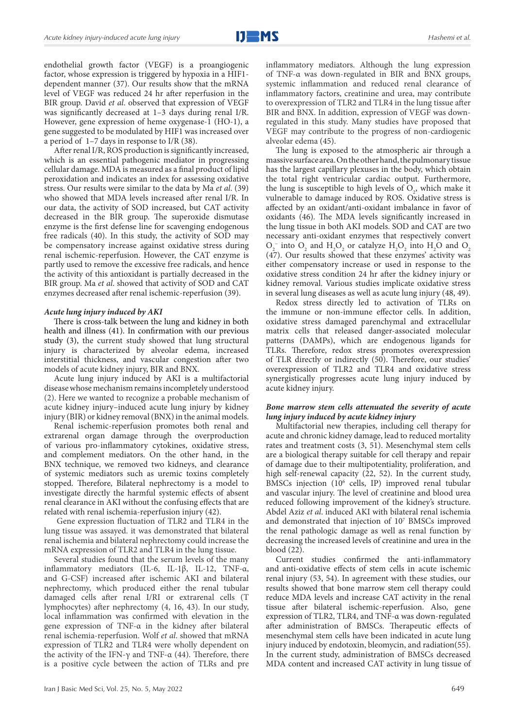endothelial growth factor (VEGF) is a proangiogenic factor, whose expression is triggered by hypoxia in a HIF1 dependent manner (37). Our results show that the mRNA level of VEGF was reduced 24 hr after reperfusion in the BIR group. David *et al*. observed that expression of VEGF was significantly decreased at 1–3 days during renal I/R. However, gene expression of heme oxygenase-1 (HO-1), a gene suggested to be modulated by HIF1 was increased over a period of 1–7 days in response to I/R (38).

After renal I/R, ROS production is significantly increased, which is an essential pathogenic mediator in progressing cellular damage. MDA is measured as a final product of lipid peroxidation and indicates an index for assessing oxidative stress. Our results were similar to the data by Ma *et al*. (39) who showed that MDA levels increased after renal I/R. In our data, the activity of SOD increased, but CAT activity decreased in the BIR group. The superoxide dismutase enzyme is the first defense line for scavenging endogenous free radicals (40). In this study, the activity of SOD may be compensatory increase against oxidative stress during renal ischemic-reperfusion. However, the CAT enzyme is partly used to remove the excessive free radicals, and hence the activity of this antioxidant is partially decreased in the BIR group. Ma *et al*. showed that activity of SOD and CAT enzymes decreased after renal ischemic-reperfusion (39).

#### *Acute lung injury induced by AKI*

There is cross-talk between the lung and kidney in both health and illness (41). In confirmation with our previous study (3), the current study showed that lung structural injury is characterized by alveolar edema, increased interstitial thickness, and vascular congestion after two models of acute kidney injury, BIR and BNX.

Acute lung injury induced by AKI is a multifactorial disease whose mechanism remains incompletely understood (2). Here we wanted to recognize a probable mechanism of acute kidney injury–induced acute lung injury by kidney injury (BIR) or kidney removal (BNX) in the animal models.

Renal ischemic-reperfusion promotes both renal and extrarenal organ damage through the overproduction of various pro-inflammatory cytokines, oxidative stress, and complement mediators. On the other hand, in the BNX technique, we removed two kidneys, and clearance of systemic mediators such as uremic toxins completely stopped. Therefore, Bilateral nephrectomy is a model to investigate directly the harmful systemic effects of absent renal clearance in AKI without the confusing effects that are related with renal ischemia-reperfusion injury (42).

 Gene expression fluctuation of TLR2 and TLR4 in the lung tissue was assayed. it was demonstrated that bilateral renal ischemia and bilateral nephrectomy could increase the mRNA expression of TLR2 and TLR4 in the lung tissue.

Several studies found that the serum levels of the many inflammatory mediators (IL-6, IL-1β, IL-12, TNF-α, and G-CSF) increased after ischemic AKI and bilateral nephrectomy, which produced either the renal tubular damaged cells after renal I/RI or extrarenal cells (T lymphocytes) after nephrectomy (4, 16, 43). In our study, local inflammation was confirmed with elevation in the gene expression of TNF-α in the kidney after bilateral renal ischemia-reperfusion. Wolf *et al*. showed that mRNA expression of TLR2 and TLR4 were wholly dependent on the activity of the IFN-γ and TNF- $\alpha$  (44). Therefore, there is a positive cycle between the action of TLRs and pre

inflammatory mediators. Although the lung expression of TNF-α was down-regulated in BIR and BNX groups, systemic inflammation and reduced renal clearance of inflammatory factors, creatinine and urea, may contribute to overexpression of TLR2 and TLR4 in the lung tissue after BIR and BNX. In addition, expression of VEGF was downregulated in this study. Many studies have proposed that VEGF may contribute to the progress of non-cardiogenic alveolar edema (45).

The lung is exposed to the atmospheric air through a massive surface area. On the other hand, the pulmonary tissue has the largest capillary plexuses in the body, which obtain the total right ventricular cardiac output. Furthermore, the lung is susceptible to high levels of  $O_2$ , which make it vulnerable to damage induced by ROS. Oxidative stress is affected by an oxidant/anti-oxidant imbalance in favor of oxidants (46). The MDA levels significantly increased in the lung tissue in both AKI models. SOD and CAT are two necessary anti-oxidant enzymes that respectively convert  $O_2^-$  into  $O_2$  and  $H_2O_2$  or catalyze  $H_2O_2$  into  $H_2O$  and  $O_2$ (47). Our results showed that these enzymes' activity was either compensatory increase or used in response to the oxidative stress condition 24 hr after the kidney injury or kidney removal. Various studies implicate oxidative stress in several lung diseases as well as acute lung injury (48, 49).

Redox stress directly led to activation of TLRs on the immune or non-immune effector cells. In addition, oxidative stress damaged parenchymal and extracellular matrix cells that released danger-associated molecular patterns (DAMPs), which are endogenous ligands for TLRs. Therefore, redox stress promotes overexpression of TLR directly or indirectly (50). Therefore, our studies' overexpression of TLR2 and TLR4 and oxidative stress synergistically progresses acute lung injury induced by acute kidney injury.

#### *Bone marrow stem cells attenuated the severity of acute lung injury induced by acute kidney injury*

Multifactorial new therapies, including cell therapy for acute and chronic kidney damage, lead to reduced mortality rates and treatment costs (3, 51). Mesenchymal stem cells are a biological therapy suitable for cell therapy and repair of damage due to their multipotentiality, proliferation, and high self-renewal capacity (22, 52). In the current study, BMSCs injection (106 cells, IP) improved renal tubular and vascular injury. The level of creatinine and blood urea reduced following improvement of the kidney's structure. Abdel Aziz *et al*. induced AKI with bilateral renal ischemia and demonstrated that injection of 10<sup>7</sup> BMSCs improved the renal pathologic damage as well as renal function by decreasing the increased levels of creatinine and urea in the blood (22).

Current studies confirmed the anti-inflammatory and anti-oxidative effects of stem cells in acute ischemic renal injury (53, 54). In agreement with these studies, our results showed that bone marrow stem cell therapy could reduce MDA levels and increase CAT activity in the renal tissue after bilateral ischemic-reperfusion. Also, gene expression of TLR2, TLR4, and TNF-α was down-regulated after administration of BMSCs. Therapeutic effects of mesenchymal stem cells have been indicated in acute lung injury induced by endotoxin, bleomycin, and radiation(55). In the current study, administration of BMSCs decreased MDA content and increased CAT activity in lung tissue of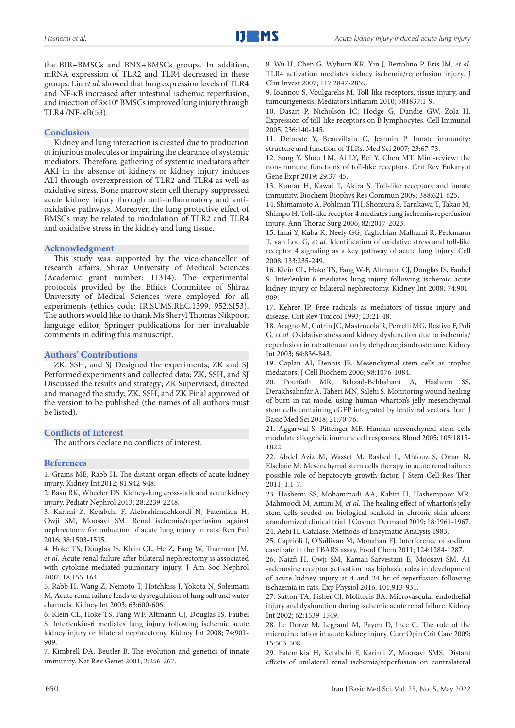the BIR+BMSCs and BNX+BMSCs groups. In addition, mRNA expression of TLR2 and TLR4 decreased in these groups. Liu *et al*. showed that lung expression levels of TLR4 and NF-κB increased after intestinal ischemic reperfusion, and injection of  $3\times10^6$  BMSCs improved lung injury through TLR4 /NF-κB(53).

#### **Conclusion**

Kidney and lung interaction is created due to production of injurious molecules or impairing the clearance of systemic mediators. Therefore, gathering of systemic mediators after AKI in the absence of kidneys or kidney injury induces ALI through overexpression of TLR2 and TLR4 as well as oxidative stress. Bone marrow stem cell therapy suppressed acute kidney injury through anti-inflammatory and antioxidative pathways. Moreover, the lung protective effect of BMSCs may be related to modulation of TLR2 and TLR4 and oxidative stress in the kidney and lung tissue.

#### **Acknowledgment**

This study was supported by the vice-chancellor of research affairs, Shiraz University of Medical Sciences (Academic grant number: 11314). The experimental protocols provided by the Ethics Committee of Shiraz University of Medical Sciences were employed for all experiments (ethics code: IR.SUMS.REC.1399. 952.SI53). The authors would like to thank Ms Sheryl Thomas Nikpoor, language editor, Springer publications for her invaluable comments in editing this manuscript.

#### **Authors' Contributions**

ZK, SSH, and SJ Designed the experiments; ZK and SJ Performed experiments and collected data; ZK, SSH, and SJ Discussed the results and strategy; ZK Supervised, directed and managed the study; ZK, SSH, and ZK Final approved of the version to be published (the names of all authors must be listed).

#### **Conflicts of Interest**

The authors declare no conflicts of interest.

#### **References**

1. Grams ME, Rabb H. The distant organ effects of acute kidney injury. Kidney Int 2012; 81:942-948.

2. Basu RK, Wheeler DS. Kidney-lung cross-talk and acute kidney injury. Pediatr Nephrol 2013; 28:2239-2248.

3. Karimi Z, Ketabchi F, Alebrahimdehkordi N, Fatemikia H, Owji SM, Moosavi SM. Renal ischemia/reperfusion against nephrectomy for induction of acute lung injury in rats. Ren Fail 2016; 38:1503-1515.

4. Hoke TS, Douglas IS, Klein CL, He Z, Fang W, Thurman JM*, et al.* Acute renal failure after bilateral nephrectomy is associated with cytokine-mediated pulmonary injury. J Am Soc Nephrol 2007; 18:155-164.

5. Rabb H, Wang Z, Nemoto T, Hotchkiss J, Yokota N, Soleimani M. Acute renal failure leads to dysregulation of lung salt and water channels. Kidney Int 2003; 63:600-606.

6. Klein CL, Hoke TS, Fang WF, Altmann CJ, Douglas IS, Faubel S. Interleukin-6 mediates lung injury following ischemic acute kidney injury or bilateral nephrectomy. Kidney Int 2008; 74:901- 909.

7. Kimbrell DA, Beutler B. The evolution and genetics of innate immunity. Nat Rev Genet 2001; 2:256-267.

8. Wu H, Chen G, Wyburn KR, Yin J, Bertolino P, Eris JM*, et al.* TLR4 activation mediates kidney ischemia/reperfusion injury. J Clin Invest 2007; 117:2847-2859.

9. Ioannou S, Voulgarelis M. Toll-like receptors, tissue injury, and tumourigenesis. Mediators Inflamm 2010; 581837:1-9.

10. Dasari P, Nicholson IC, Hodge G, Dandie GW, Zola H. Expression of toll-like receptors on B lymphocytes. Cell Immunol 2005; 236:140-145.

11. Delneste Y, Beauvillain C, Jeannin P. Innate immunity: structure and function of TLRs. Med Sci 2007; 23:67-73.

12. Song Y, Shou LM, Ai LY, Bei Y, Chen MT. Mini-review: the non-immune functions of toll-like receptors. Crit Rev Eukaryot Gene Expr 2019; 29:37-45.

13. Kumar H, Kawai T, Akira S. Toll-like receptors and innate immunity. Biochem Biophys Res Commun 2009; 388:621-625.

14. Shimamoto A, Pohlman TH, Shomura S, Tarukawa T, Takao M, Shimpo H. Toll-like receptor 4 mediates lung ischemia-reperfusion injury. Ann Thorac Surg 2006; 82:2017-2023.

15. Imai Y, Kuba K, Neely GG, Yaghubian-Malhami R, Perkmann T, van Loo G*, et al.* Identification of oxidative stress and toll-like receptor 4 signaling as a key pathway of acute lung injury. Cell 2008; 133:235-249.

16. Klein CL, Hoke TS, Fang W-F, Altmann CJ, Douglas IS, Faubel S. Interleukin-6 mediates lung injury following ischemic acute kidney injury or bilateral nephrectomy. Kidney Int 2008; 74:901- 909.

17. Kehrer JP. Free radicals as mediators of tissue injury and disease. Crit Rev Toxicol 1993; 23:21-48.

18. Aragno M, Cutrin JC, Mastrocola R, Perrelli MG, Restivo F, Poli G*, et al.* Oxidative stress and kidney dysfunction due to ischemia/ reperfusion in rat: attenuation by dehydroepiandrosterone. Kidney Int 2003; 64:836-843.

19. Caplan AI, Dennis JE. Mesenchymal stem cells as trophic mediators. J Cell Biochem 2006; 98:1076-1084.

20. Pourfath MR, Behzad-Behbahani A, Hashemi SS, Derakhsahnfar A, Taheri MN, Salehi S. Monitoring wound healing of burn in rat model using human wharton's jelly mesenchymal stem cells containing cGFP integrated by lentiviral vectors. Iran J Basic Med Sci 2018; 21:70-76.

21. Aggarwal S, Pittenger MF. Human mesenchymal stem cells modulate allogeneic immune cell responses. Blood 2005; 105:1815- 1822.

22. Abdel Aziz M, Wassef M, Rashed L, Mhfouz S, Omar N, Elsebaie M. Mesenchymal stem cells therapy in acute renal failure: possible role of hepatocyte growth factor. J Stem Cell Res Ther 2011; 1:1-7.

23. Hashemi SS, Mohammadi AA, Kabiri H, Hashempoor MR, Mahmoodi M, Amini M*, et al.* The healing effect of wharton's jelly stem cells seeded on biological scaffold in chronic skin ulcers: arandomized clinical trial. J Cosmet Dermatol 2019; 18:1961-1967. 24. Aebi H. Catalase. Methods of Enzymatic Analysis 1983.

25. Caprioli I, O'Sullivan M, Monahan FJ. Interference of sodium caseinate in the TBARS assay. Food Chem 2011; 124:1284-1287.

26. Najafi H, Owji SM, Kamali-Sarvestani E, Moosavi SM. A1 -adenosine receptor activation has biphasic roles in development of acute kidney injury at 4 and 24 hr of reperfusion following ischaemia in rats. Exp Physiol 2016; 101:913-931.

27. Sutton TA, Fisher CJ, Molitoris BA. Microvascular endothelial injury and dysfunction during ischemic acute renal failure. Kidney Int 2002; 62:1539-1549.

28. Le Dorze M, Legrand M, Payen D, Ince C. The role of the microcirculation in acute kidney injury. Curr Opin Crit Care 2009; 15:503-508.

29. Fatemikia H, Ketabchi F, Karimi Z, Moosavi SMS. Distant effects of unilateral renal ischemia/reperfusion on contralateral